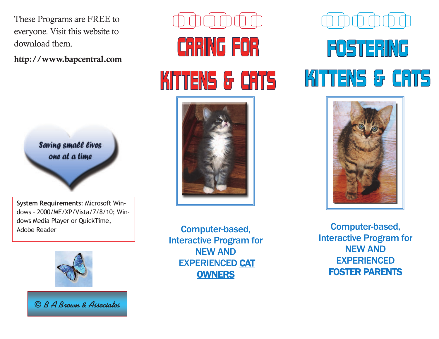These Programs are FREE to everyone. Visit this website to download them.

**http://www.bapcentral.com**



**System Requirements**: Microsoft Windows – 2000/ME/XP/Vista/7/8/10; Windows Media Player or QuickTime, Adobe Reader



© *B A Brown & Associates*

## **CARING FOR** KITTENS & CATS



Computer-based, Interactive Program for NEW AND EXPERIENCED CAT **OWNERS** 

## FOSTERING KITTENS & CATS



Computer-based, Interactive Program for NEW AND EXPERIENCED FOSTER PARENTS